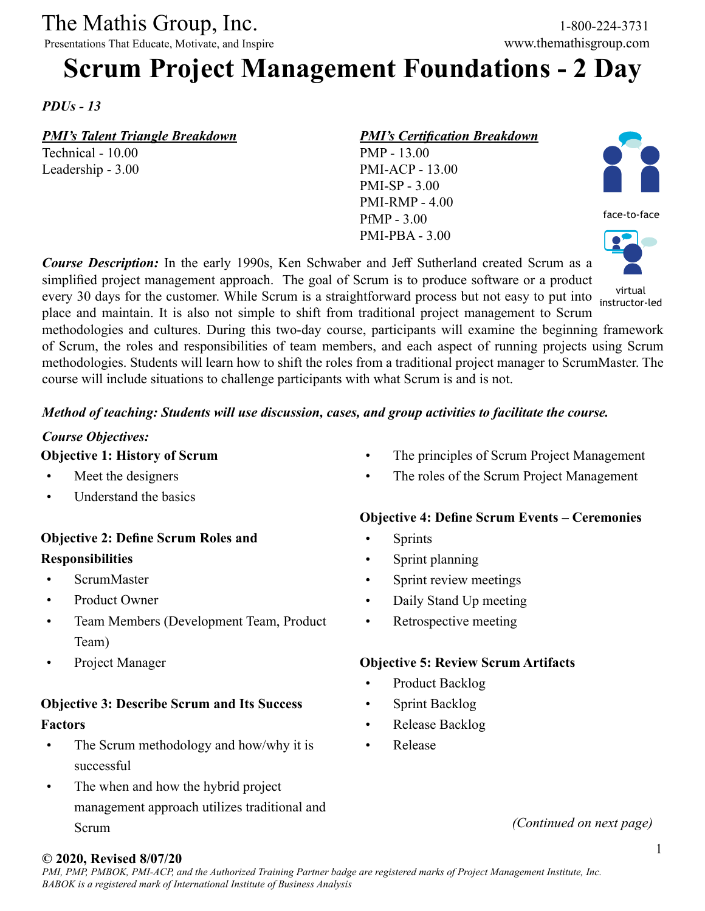The Mathis Group, Inc. 1-800-224-3731

Presentations That Educate, Motivate, and Inspire www.themathisgroup.com

# **Scrum Project Management Foundations - 2 Day**

*PDUs - 13*

*PMI's Talent Triangle Breakdown*

Technical - 10.00 Leadership - 3.00 *PMI's Certification Breakdown* PMP - 13.00 PMI-ACP - 13.00 PMI-SP - 3.00 PMI-RMP - 4.00

PfMP - 3.00 PMI-PBA - 3.00



face-to-face



*Course Description:* In the early 1990s, Ken Schwaber and Jeff Sutherland created Scrum as a simplified project management approach. The goal of Scrum is to produce software or a product every 30 days for the customer. While Scrum is a straightforward process but not easy to put into place and maintain. It is also not simple to shift from traditional project management to Scrum methodologies and cultures. During this two-day course, participants will examine the beginning framework of Scrum, the roles and responsibilities of team members, and each aspect of running projects using Scrum methodologies. Students will learn how to shift the roles from a traditional project manager to ScrumMaster. The instructor-led

course will include situations to challenge participants with what Scrum is and is not.

#### *Method of teaching: Students will use discussion, cases, and group activities to facilitate the course.*

# *Course Objectives:*

**Objective 1: History of Scrum**

- Meet the designers
- Understand the basics

# **Objective 2: Define Scrum Roles and Responsibilities**

- ScrumMaster
- Product Owner
- Team Members (Development Team, Product Team)
- Project Manager

# **Objective 3: Describe Scrum and Its Success Factors**

- The Scrum methodology and how/why it is successful
- The when and how the hybrid project management approach utilizes traditional and Scrum
- The principles of Scrum Project Management
- The roles of the Scrum Project Management

#### **Objective 4: Define Scrum Events – Ceremonies**

- Sprints
- Sprint planning
- Sprint review meetings
- Daily Stand Up meeting
- Retrospective meeting

#### **Objective 5: Review Scrum Artifacts**

- Product Backlog
- Sprint Backlog
- Release Backlog
- Release

#### *(Continued on next page)*

#### **© 2020, Revised 8/07/20**